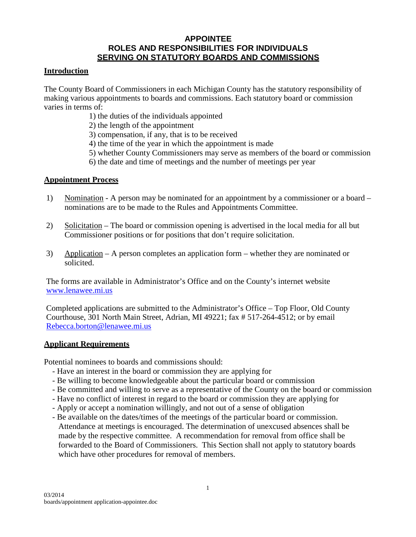### **APPOINTEE ROLES AND RESPONSIBILITIES FOR INDIVIDUALS SERVING ON STATUTORY BOARDS AND COMMISSIONS**

### **Introduction**

The County Board of Commissioners in each Michigan County has the statutory responsibility of making various appointments to boards and commissions. Each statutory board or commission varies in terms of:

- 1) the duties of the individuals appointed
- 2) the length of the appointment
- 3) compensation, if any, that is to be received
- 4) the time of the year in which the appointment is made
- 5) whether County Commissioners may serve as members of the board or commission
- 6) the date and time of meetings and the number of meetings per year

#### **Appointment Process**

- 1) Nomination A person may be nominated for an appointment by a commissioner or a board nominations are to be made to the Rules and Appointments Committee.
- 2) Solicitation The board or commission opening is advertised in the local media for all but Commissioner positions or for positions that don't require solicitation.
- 3) Application A person completes an application form whether they are nominated or solicited.

The forms are available in Administrator's Office and on the County's internet website [www.lenawee.mi.us](http://www.lenawee.mi.us/)

Completed applications are submitted to the Administrator's Office – Top Floor, Old County Courthouse, 301 North Main Street, Adrian, MI 49221; fax # 517-264-4512; or by email [Rebecca.borton@lenawee.mi.us](mailto:Rebecca.borton@lenawee.mi.us)

#### **Applicant Requirements**

Potential nominees to boards and commissions should:

- Have an interest in the board or commission they are applying for
- Be willing to become knowledgeable about the particular board or commission
- Be committed and willing to serve as a representative of the County on the board or commission
- Have no conflict of interest in regard to the board or commission they are applying for
- Apply or accept a nomination willingly, and not out of a sense of obligation
- Be available on the dates/times of the meetings of the particular board or commission. Attendance at meetings is encouraged. The determination of unexcused absences shall be made by the respective committee. A recommendation for removal from office shall be forwarded to the Board of Commissioners. This Section shall not apply to statutory boards which have other procedures for removal of members.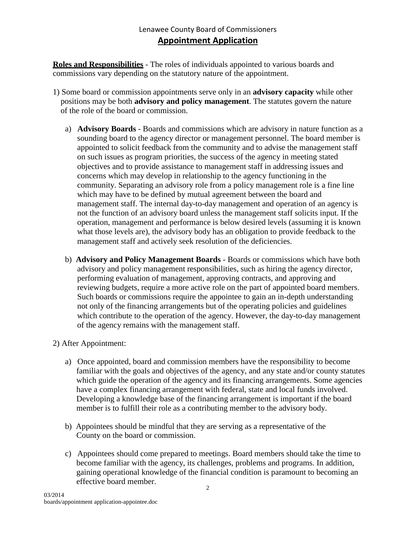**Roles and Responsibilities** - The roles of individuals appointed to various boards and commissions vary depending on the statutory nature of the appointment.

- 1) Some board or commission appointments serve only in an **advisory capacity** while other positions may be both **advisory and policy management**. The statutes govern the nature of the role of the board or commission.
	- a) **Advisory Boards**  Boards and commissions which are advisory in nature function as a sounding board to the agency director or management personnel. The board member is appointed to solicit feedback from the community and to advise the management staff on such issues as program priorities, the success of the agency in meeting stated objectives and to provide assistance to management staff in addressing issues and concerns which may develop in relationship to the agency functioning in the community. Separating an advisory role from a policy management role is a fine line which may have to be defined by mutual agreement between the board and management staff. The internal day-to-day management and operation of an agency is not the function of an advisory board unless the management staff solicits input. If the operation, management and performance is below desired levels (assuming it is known what those levels are), the advisory body has an obligation to provide feedback to the management staff and actively seek resolution of the deficiencies.
	- b) **Advisory and Policy Management Boards**  Boards or commissions which have both advisory and policy management responsibilities, such as hiring the agency director, performing evaluation of management, approving contracts, and approving and reviewing budgets, require a more active role on the part of appointed board members. Such boards or commissions require the appointee to gain an in-depth understanding not only of the financing arrangements but of the operating policies and guidelines which contribute to the operation of the agency. However, the day-to-day management of the agency remains with the management staff.
- 2) After Appointment:
	- a) Once appointed, board and commission members have the responsibility to become familiar with the goals and objectives of the agency, and any state and/or county statutes which guide the operation of the agency and its financing arrangements. Some agencies have a complex financing arrangement with federal, state and local funds involved. Developing a knowledge base of the financing arrangement is important if the board member is to fulfill their role as a contributing member to the advisory body.
	- b) Appointees should be mindful that they are serving as a representative of the County on the board or commission.
	- c) Appointees should come prepared to meetings. Board members should take the time to become familiar with the agency, its challenges, problems and programs. In addition, gaining operational knowledge of the financial condition is paramount to becoming an effective board member.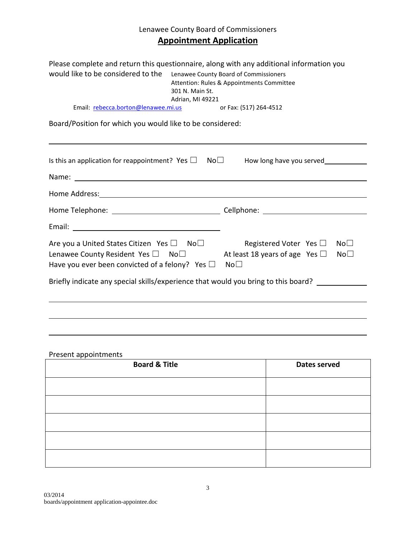# Lenawee County Board of Commissioners **Appointment Application**

| Please complete and return this questionnaire, along with any additional information you<br>would like to be considered to the Lenawee County Board of Commissioners<br>Attention: Rules & Appointments Committee<br>301 N. Main St.<br>Adrian, MI 49221 |  |                                                                                          |                                    |  |
|----------------------------------------------------------------------------------------------------------------------------------------------------------------------------------------------------------------------------------------------------------|--|------------------------------------------------------------------------------------------|------------------------------------|--|
| Email: rebecca.borton@lenawee.mi.us                                                                                                                                                                                                                      |  | or Fax: (517) 264-4512                                                                   |                                    |  |
| Board/Position for which you would like to be considered:                                                                                                                                                                                                |  |                                                                                          |                                    |  |
| Is this an application for reappointment? Yes $\square$                                                                                                                                                                                                  |  | $No\square$<br>How long have you served                                                  |                                    |  |
|                                                                                                                                                                                                                                                          |  |                                                                                          |                                    |  |
| Home Address: Note and the set of the set of the set of the set of the set of the set of the set of the set of the set of the set of the set of the set of the set of the set of the set of the set of the set of the set of t                           |  |                                                                                          |                                    |  |
| Home Telephone: ___________________________________Cellphone: __________________                                                                                                                                                                         |  |                                                                                          |                                    |  |
|                                                                                                                                                                                                                                                          |  |                                                                                          |                                    |  |
| Are you a United States Citizen Yes $\square$ No $\square$<br>Lenawee County Resident Yes □ No□<br>Have you ever been convicted of a felony? Yes $\Box$                                                                                                  |  | Registered Voter Yes $\square$<br>At least 18 years of age Yes $\Box$<br>No <sub>1</sub> | No <sub>1</sub><br>No <sub>1</sub> |  |
| Briefly indicate any special skills/experience that would you bring to this board?                                                                                                                                                                       |  |                                                                                          |                                    |  |
|                                                                                                                                                                                                                                                          |  |                                                                                          |                                    |  |
|                                                                                                                                                                                                                                                          |  |                                                                                          |                                    |  |
|                                                                                                                                                                                                                                                          |  |                                                                                          |                                    |  |

# Present appointments

| <b>Board &amp; Title</b> | Dates served |  |
|--------------------------|--------------|--|
|                          |              |  |
|                          |              |  |
|                          |              |  |
|                          |              |  |
|                          |              |  |